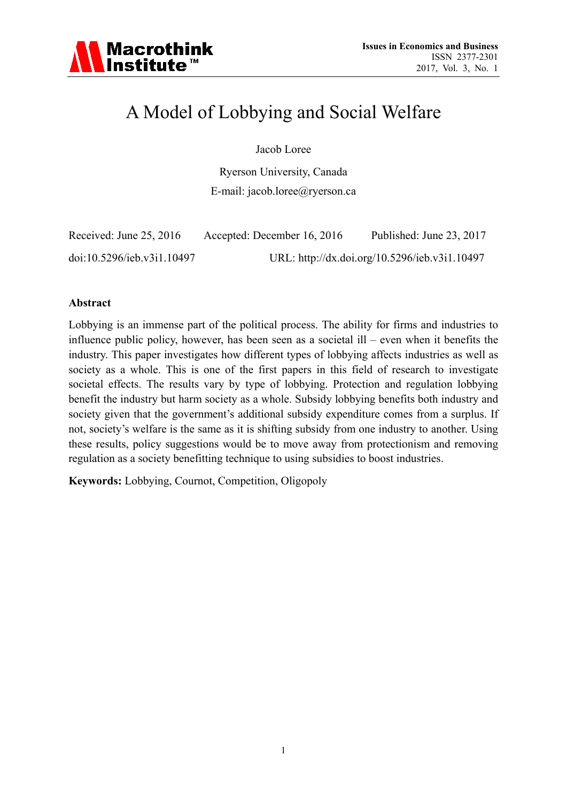

# A Model of Lobbying and Social Welfare

Jacob Loree

Ryerson University, Canada E-mail: jacob.loree@ryerson.ca

| Received: June 25, 2016    | Accepted: December 16, 2016 | Published: June 23, 2017                      |
|----------------------------|-----------------------------|-----------------------------------------------|
| doi:10.5296/ieb.v3i1.10497 |                             | URL: http://dx.doi.org/10.5296/ieb.v3i1.10497 |

#### **Abstract**

Lobbying is an immense part of the political process. The ability for firms and industries to influence public policy, however, has been seen as a societal ill – even when it benefits the industry. This paper investigates how different types of lobbying affects industries as well as society as a whole. This is one of the first papers in this field of research to investigate societal effects. The results vary by type of lobbying. Protection and regulation lobbying benefit the industry but harm society as a whole. Subsidy lobbying benefits both industry and society given that the government's additional subsidy expenditure comes from a surplus. If not, society's welfare is the same as it is shifting subsidy from one industry to another. Using these results, policy suggestions would be to move away from protectionism and removing regulation as a society benefitting technique to using subsidies to boost industries.

**Keywords:** Lobbying, Cournot, Competition, Oligopoly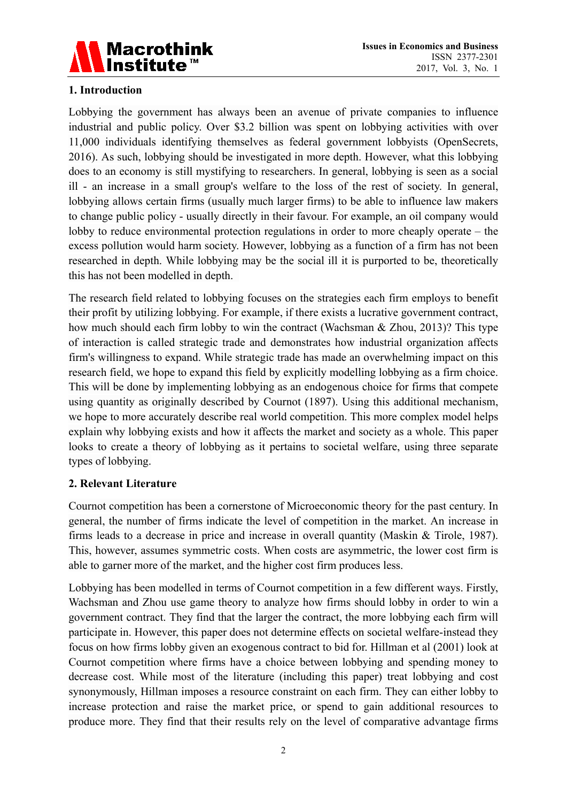

## **1. Introduction**

Lobbying the government has always been an avenue of private companies to influence industrial and public policy. Over \$3.2 billion was spent on lobbying activities with over 11,000 individuals identifying themselves as federal government lobbyists (OpenSecrets, 2016). As such, lobbying should be investigated in more depth. However, what this lobbying does to an economy is still mystifying to researchers. In general, lobbying is seen as a social ill - an increase in a small group's welfare to the loss of the rest of society. In general, lobbying allows certain firms (usually much larger firms) to be able to influence law makers to change public policy - usually directly in their favour. For example, an oil company would lobby to reduce environmental protection regulations in order to more cheaply operate – the excess pollution would harm society. However, lobbying as a function of a firm has not been researched in depth. While lobbying may be the social ill it is purported to be, theoretically this has not been modelled in depth.

The research field related to lobbying focuses on the strategies each firm employs to benefit their profit by utilizing lobbying. For example, if there exists a lucrative government contract, how much should each firm lobby to win the contract (Wachsman & Zhou, 2013)? This type of interaction is called strategic trade and demonstrates how industrial organization affects firm's willingness to expand. While strategic trade has made an overwhelming impact on this research field, we hope to expand this field by explicitly modelling lobbying as a firm choice. This will be done by implementing lobbying as an endogenous choice for firms that compete using quantity as originally described by Cournot (1897). Using this additional mechanism, we hope to more accurately describe real world competition. This more complex model helps explain why lobbying exists and how it affects the market and society as a whole. This paper looks to create a theory of lobbying as it pertains to societal welfare, using three separate types of lobbying.

## **2. Relevant Literature**

Cournot competition has been a cornerstone of Microeconomic theory for the past century. In general, the number of firms indicate the level of competition in the market. An increase in firms leads to a decrease in price and increase in overall quantity (Maskin & Tirole, 1987). This, however, assumes symmetric costs. When costs are asymmetric, the lower cost firm is able to garner more of the market, and the higher cost firm produces less.

Lobbying has been modelled in terms of Cournot competition in a few different ways. Firstly, Wachsman and Zhou use game theory to analyze how firms should lobby in order to win a government contract. They find that the larger the contract, the more lobbying each firm will participate in. However, this paper does not determine effects on societal welfare-instead they focus on how firms lobby given an exogenous contract to bid for. Hillman et al (2001) look at Cournot competition where firms have a choice between lobbying and spending money to decrease cost. While most of the literature (including this paper) treat lobbying and cost synonymously, Hillman imposes a resource constraint on each firm. They can either lobby to increase protection and raise the market price, or spend to gain additional resources to produce more. They find that their results rely on the level of comparative advantage firms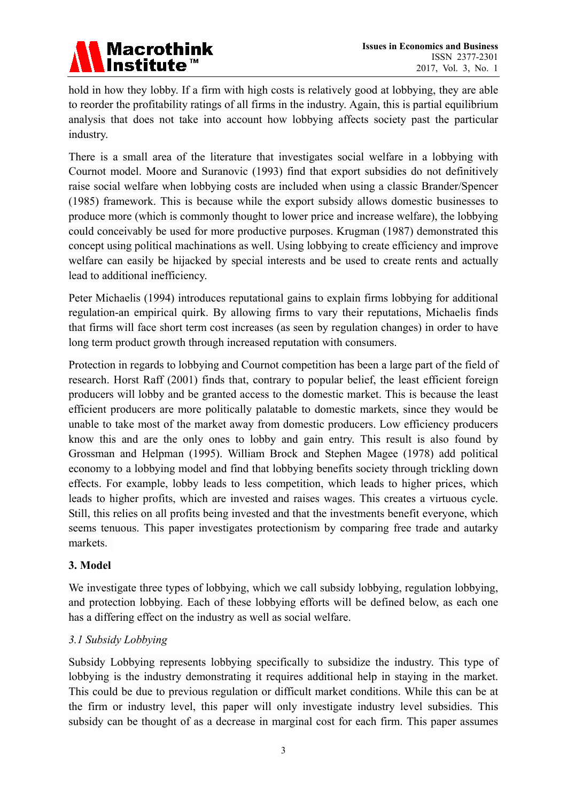

hold in how they lobby. If a firm with high costs is relatively good at lobbying, they are able to reorder the profitability ratings of all firms in the industry. Again, this is partial equilibrium analysis that does not take into account how lobbying affects society past the particular industry.

There is a small area of the literature that investigates social welfare in a lobbying with Cournot model. Moore and Suranovic (1993) find that export subsidies do not definitively raise social welfare when lobbying costs are included when using a classic Brander/Spencer (1985) framework. This is because while the export subsidy allows domestic businesses to produce more (which is commonly thought to lower price and increase welfare), the lobbying could conceivably be used for more productive purposes. Krugman (1987) demonstrated this concept using political machinations as well. Using lobbying to create efficiency and improve welfare can easily be hijacked by special interests and be used to create rents and actually lead to additional inefficiency.

Peter Michaelis (1994) introduces reputational gains to explain firms lobbying for additional regulation-an empirical quirk. By allowing firms to vary their reputations, Michaelis finds that firms will face short term cost increases (as seen by regulation changes) in order to have long term product growth through increased reputation with consumers.

Protection in regards to lobbying and Cournot competition has been a large part of the field of research. Horst Raff (2001) finds that, contrary to popular belief, the least efficient foreign producers will lobby and be granted access to the domestic market. This is because the least efficient producers are more politically palatable to domestic markets, since they would be unable to take most of the market away from domestic producers. Low efficiency producers know this and are the only ones to lobby and gain entry. This result is also found by Grossman and Helpman (1995). William Brock and Stephen Magee (1978) add political economy to a lobbying model and find that lobbying benefits society through trickling down effects. For example, lobby leads to less competition, which leads to higher prices, which leads to higher profits, which are invested and raises wages. This creates a virtuous cycle. Still, this relies on all profits being invested and that the investments benefit everyone, which seems tenuous. This paper investigates protectionism by comparing free trade and autarky markets.

## **3. Model**

We investigate three types of lobbying, which we call subsidy lobbying, regulation lobbying, and protection lobbying. Each of these lobbying efforts will be defined below, as each one has a differing effect on the industry as well as social welfare.

# *3.1 Subsidy Lobbying*

Subsidy Lobbying represents lobbying specifically to subsidize the industry. This type of lobbying is the industry demonstrating it requires additional help in staying in the market. This could be due to previous regulation or difficult market conditions. While this can be at the firm or industry level, this paper will only investigate industry level subsidies. This subsidy can be thought of as a decrease in marginal cost for each firm. This paper assumes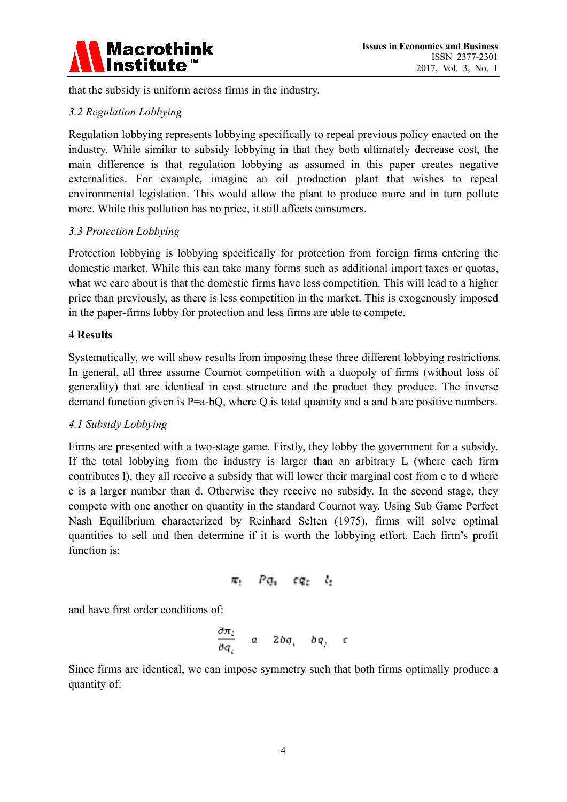

that the subsidy is uniform across firms in the industry.

# *3.2 Regulation Lobbying*

Regulation lobbying represents lobbying specifically to repeal previous policy enacted on the industry. While similar to subsidy lobbying in that they both ultimately decrease cost, the main difference is that regulation lobbying as assumed in this paper creates negative externalities. For example, imagine an oil production plant that wishes to repeal environmental legislation. This would allow the plant to produce more and in turn pollute more. While this pollution has no price, it still affects consumers.

## *3.3 Protection Lobbying*

Protection lobbying is lobbying specifically for protection from foreign firms entering the domestic market. While this can take many forms such as additional import taxes or quotas, what we care about is that the domestic firms have less competition. This will lead to a higher price than previously, as there is less competition in the market. This is exogenously imposed in the paper-firms lobby for protection and less firms are able to compete.

## **4 Results**

Systematically, we will show results from imposing these three different lobbying restrictions. In general, all three assume Cournot competition with a duopoly of firms (without loss of generality) that are identical in cost structure and the product they produce. The inverse demand function given is P=a-bQ, where Q is total quantity and a and b are positive numbers.

# *4.1 Subsidy Lobbying*

Firms are presented with a two-stage game. Firstly, they lobby the government for a subsidy. If the total lobbying from the industry is larger than an arbitrary L (where each firm contributes l), they all receive a subsidy that will lower their marginal cost from c to d where c is a larger number than d. Otherwise they receive no subsidy. In the second stage, they compete with one another on quantity in the standard Cournot way. Using Sub Game Perfect Nash Equilibrium characterized by Reinhard Selten (1975), firms will solve optimal quantities to sell and then determine if it is worth the lobbying effort. Each firm's profit function is:

$$
\pi_! = P\phi_1 = \varepsilon q_2 = l_2
$$

and have first order conditions of:

$$
\frac{\partial \pi_i}{\partial q_i} = a - 2bq_i - bq_j - c
$$

Since firms are identical, we can impose symmetry such that both firms optimally produce a quantity of: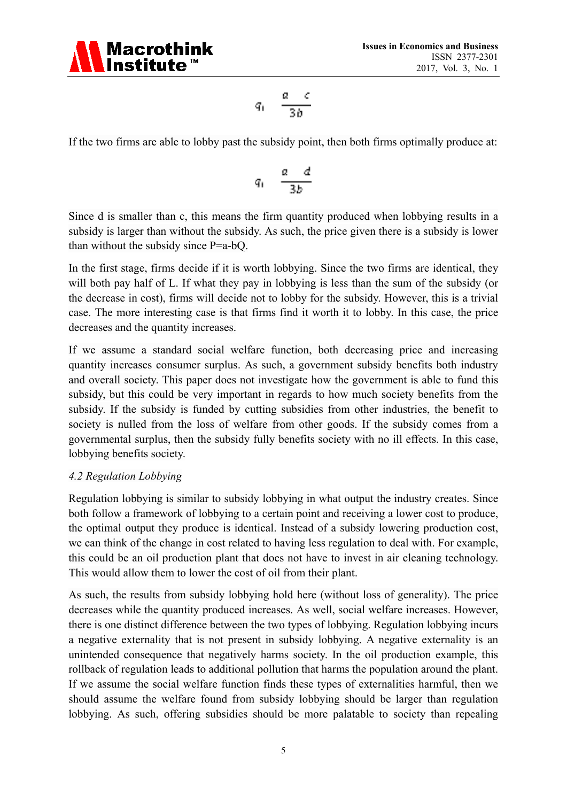

$$
q_1 = \frac{a-c}{3b}
$$

If the two firms are able to lobby past the subsidy point, then both firms optimally produce at:

$$
q_1 = \frac{a - d}{3b}
$$

Since d is smaller than c, this means the firm quantity produced when lobbying results in a subsidy is larger than without the subsidy. As such, the price given there is a subsidy is lower than without the subsidy since P=a-bQ.

In the first stage, firms decide if it is worth lobbying. Since the two firms are identical, they will both pay half of L. If what they pay in lobbying is less than the sum of the subsidy (or the decrease in cost), firms will decide not to lobby for the subsidy. However, this is a trivial case. The more interesting case is that firms find it worth it to lobby. In this case, the price decreases and the quantity increases.

If we assume a standard social welfare function, both decreasing price and increasing quantity increases consumer surplus. As such, a government subsidy benefits both industry and overall society. This paper does not investigate how the government is able to fund this subsidy, but this could be very important in regards to how much society benefits from the subsidy. If the subsidy is funded by cutting subsidies from other industries, the benefit to society is nulled from the loss of welfare from other goods. If the subsidy comes from a governmental surplus, then the subsidy fully benefits society with no ill effects. In this case, lobbying benefits society.

## *4.2 Regulation Lobbying*

Regulation lobbying is similar to subsidy lobbying in what output the industry creates. Since both follow a framework of lobbying to a certain point and receiving a lower cost to produce, the optimal output they produce is identical. Instead of a subsidy lowering production cost, we can think of the change in cost related to having less regulation to deal with. For example, this could be an oil production plant that does not have to invest in air cleaning technology. This would allow them to lower the cost of oil from their plant.

As such, the results from subsidy lobbying hold here (without loss of generality). The price decreases while the quantity produced increases. As well, social welfare increases. However, there is one distinct difference between the two types of lobbying. Regulation lobbying incurs a negative externality that is not present in subsidy lobbying. A negative externality is an unintended consequence that negatively harms society. In the oil production example, this rollback of regulation leads to additional pollution that harms the population around the plant. If we assume the social welfare function finds these types of externalities harmful, then we should assume the welfare found from subsidy lobbying should be larger than regulation lobbying. As such, offering subsidies should be more palatable to society than repealing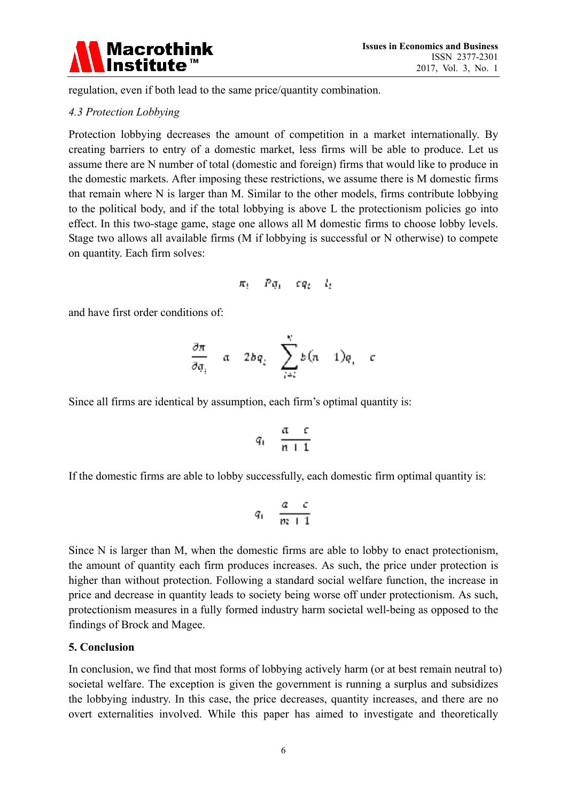

regulation, even if both lead to the same price/quantity combination.

# *4.3 Protection Lobbying*

Protection lobbying decreases the amount of competition in a market internationally. By creating barriers to entry of a domestic market, less firms will be able to produce. Let us assume there are N number of total (domestic and foreign) firms that would like to produce in the domestic markets. After imposing these restrictions, we assume there is M domestic firms that remain where N is larger than M. Similar to the other models, firms contribute lobbying to the political body, and if the total lobbying is above L the protectionism policies go into effect. In this two-stage game, stage one allows all M domestic firms to choose lobby levels. Stage two allows all available firms (M if lobbying is successful or N otherwise) to compete on quantity. Each firm solves:

$$
\pi_i = Pq_i - eq_i - l_i
$$

and have first order conditions of:

$$
\frac{\partial \pi}{\partial q_i} = a - 2bq_i - \sum_{j=i}^N b(n-1)q_j - c
$$

Since all firms are identical by assumption, each firm's optimal quantity is:

$$
q_1 = \frac{a-c}{n+1}
$$

If the domestic firms are able to lobby successfully, each domestic firm optimal quantity is:

$$
q_1=\frac{\alpha-\epsilon}{m+1}
$$

Since N is larger than M, when the domestic firms are able to lobby to enact protectionism, the amount of quantity each firm produces increases. As such, the price under protection is higher than without protection. Following a standard social welfare function, the increase in price and decrease in quantity leads to society being worse off under protectionism. As such, protectionism measures in a fully formed industry harm societal well-being as opposed to the findings of Brock and Magee.

#### **5. Conclusion**

In conclusion, we find that most forms of lobbying actively harm (or at best remain neutral to) societal welfare. The exception is given the government is running a surplus and subsidizes the lobbying industry. In this case, the price decreases, quantity increases, and there are no overt externalities involved. While this paper has aimed to investigate and theoretically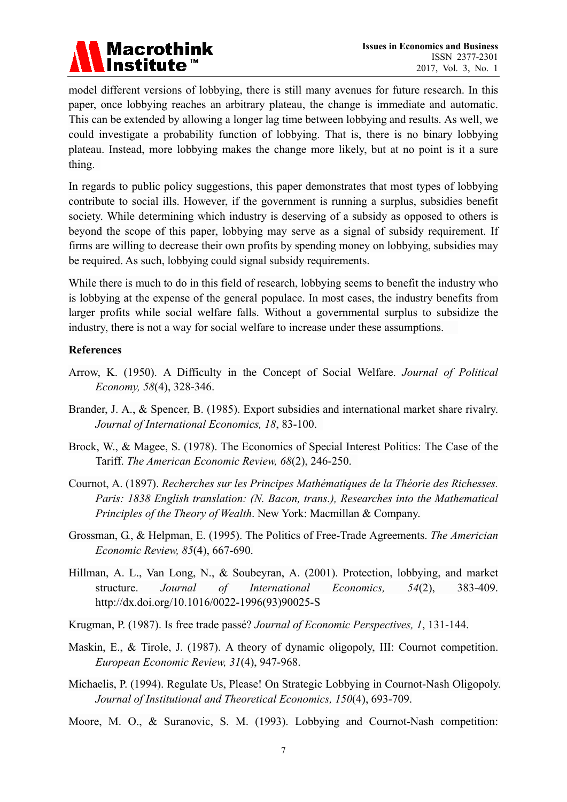

model different versions of lobbying, there is still many avenues for future research. In this paper, once lobbying reaches an arbitrary plateau, the change is immediate and automatic. This can be extended by allowing a longer lag time between lobbying and results. As well, we could investigate a probability function of lobbying. That is, there is no binary lobbying plateau. Instead, more lobbying makes the change more likely, but at no point is it a sure thing.

In regards to public policy suggestions, this paper demonstrates that most types of lobbying contribute to social ills. However, if the government is running a surplus, subsidies benefit society. While determining which industry is deserving of a subsidy as opposed to others is beyond the scope of this paper, lobbying may serve as a signal of subsidy requirement. If firms are willing to decrease their own profits by spending money on lobbying, subsidies may be required. As such, lobbying could signal subsidy requirements.

While there is much to do in this field of research, lobbying seems to benefit the industry who is lobbying at the expense of the general populace. In most cases, the industry benefits from larger profits while social welfare falls. Without a governmental surplus to subsidize the industry, there is not a way for social welfare to increase under these assumptions.

#### **References**

- Arrow, K. (1950). A Difficulty in the Concept of Social Welfare. *Journal of Political Economy, 58*(4), 328-346.
- Brander, J. A., & Spencer, B. (1985). Export subsidies and international market share rivalry. *Journal of International Economics, 18*, 83-100.
- Brock, W., & Magee, S. (1978). The Economics of Special Interest Politics: The Case of the Tariff. *The American Economic Review, 68*(2), 246-250.
- Cournot, A. (1897). *Recherches sur les Principes Mathématiques de la Théorie des Richesses. Paris: 1838 English translation: (N. Bacon, trans.), Researches into the Mathematical Principles of the Theory of Wealth*. New York: Macmillan & Company.
- Grossman, G., & Helpman, E. (1995). The Politics of Free-Trade Agreements. *The Americian Economic Review, 85*(4), 667-690.
- Hillman, A. L., Van Long, N., & Soubeyran, A. (2001). Protection, lobbying, and market structure. *Journal of International Economics, 54*(2), 383-409. http://dx.doi.org/10.1016/0022-1996(93)90025-S
- Krugman, P. (1987). Is free trade passé? *Journal of Economic Perspectives, 1*, 131-144.
- Maskin, E., & Tirole, J. (1987). A theory of dynamic oligopoly, III: Cournot competition. *European Economic Review, 31*(4), 947-968.
- Michaelis, P. (1994). Regulate Us, Please! On Strategic Lobbying in Cournot-Nash Oligopoly. *Journal of Institutional and Theoretical Economics, 150*(4), 693-709.
- Moore, M. O., & Suranovic, S. M. (1993). Lobbying and Cournot-Nash competition: